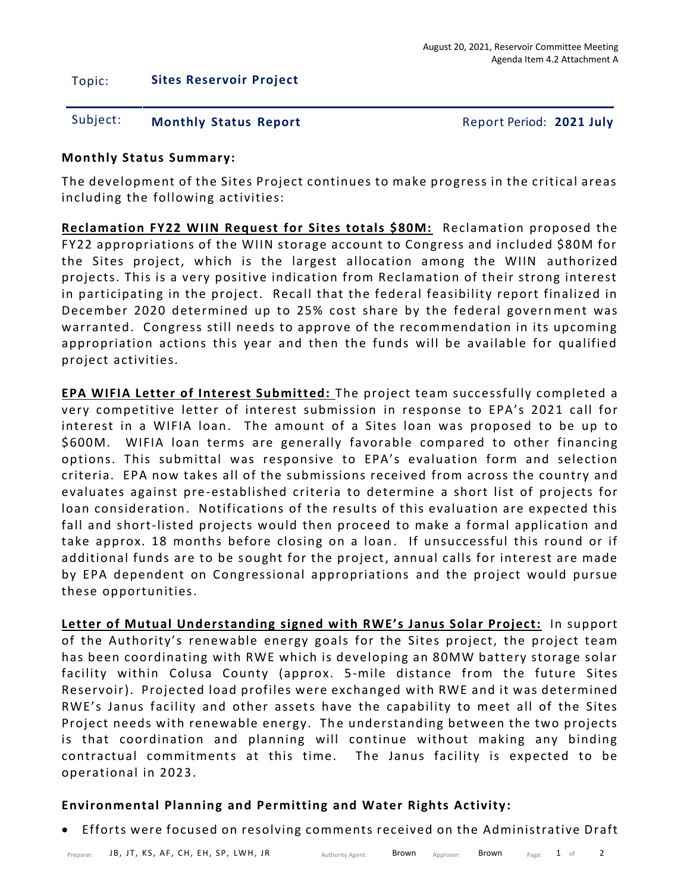## Topic: **Sites Reservoir Project**

## Subject: **Monthly Status Report** Report Period: **2021 July**

## **Monthly Status Summary:**

The development of the Sites Project continues to make progress in the critical areas including the following activities:

**Reclamation FY22 WIIN Request for Sites totals \$80M:** Reclamation proposed the FY22 appropriations of the WIIN storage account to Congress and included \$80M for the Sites project, which is the largest allocation among the WIIN authorized projects. This is a very positive indication from Reclamation of their strong interest in participating in the project. Recall that the federal feasibility report finalized in December 2020 determined up to 25% cost share by the federal govern ment was warranted. Congress still needs to approve of the recommendation in its upcoming appropriation actions this year and then the funds will be available for qualified project activities.

**EPA WIFIA Letter of Interest Submitted:** The project team successfully completed a very competitive letter of interest submission in response to EPA's 2021 call for interest in a WIFIA loan. The amount of a Sites loan was proposed to be up to \$600M. WIFIA loan terms are generally favorable compared to other financing options. This submittal was responsive to EPA's evaluation form and selection criteria. EPA now takes all of the submissions received from across the country and evaluates against pre-established criteria to determine a short list of projects for loan consideration. Notifications of the results of this evaluation are expected this fall and short-listed projects would then proceed to make a formal application and take approx. 18 months before closing on a loan. If unsuccessful this round or if additional funds are to be sought for the project, annual calls for interest are made by EPA dependent on Congressional appropriations and the project would pursue these opportunities.

**Letter of Mutual Understanding signed with RWE's Janus Solar Project:** In support of the Authority's renewable energy goals for the Sites project, the project team has been coordinating with RWE which is developing an 80MW battery storage solar facility within Colusa County (approx. 5-mile distance from the future Sites Reservoir). Projected load profiles were exchanged with RWE and it was determined RWE's Janus facility and other assets have the capability to meet all of the Sites Project needs with renewable energy. The understanding between the two projects is that coordination and planning will continue without making any binding contractual commitments at this time. The Janus facility is expected to be operational in 2023.

## **Environmental Planning and Permitting and Water Rights Activity:**

• Efforts were focused on resolving comments received on the Administrative Draft